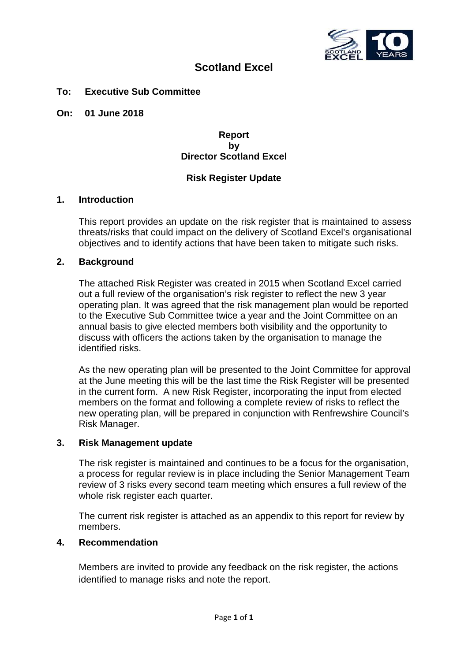

# **Scotland Excel**

### **To: Executive Sub Committee**

**On: 01 June 2018**

### **Report by Director Scotland Excel**

## **Risk Register Update**

#### **1. Introduction**

This report provides an update on the risk register that is maintained to assess threats/risks that could impact on the delivery of Scotland Excel's organisational objectives and to identify actions that have been taken to mitigate such risks.

## **2. Background**

The attached Risk Register was created in 2015 when Scotland Excel carried out a full review of the organisation's risk register to reflect the new 3 year operating plan. It was agreed that the risk management plan would be reported to the Executive Sub Committee twice a year and the Joint Committee on an annual basis to give elected members both visibility and the opportunity to discuss with officers the actions taken by the organisation to manage the identified risks.

As the new operating plan will be presented to the Joint Committee for approval at the June meeting this will be the last time the Risk Register will be presented in the current form. A new Risk Register, incorporating the input from elected members on the format and following a complete review of risks to reflect the new operating plan, will be prepared in conjunction with Renfrewshire Council's Risk Manager.

#### **3. Risk Management update**

The risk register is maintained and continues to be a focus for the organisation, a process for regular review is in place including the Senior Management Team review of 3 risks every second team meeting which ensures a full review of the whole risk register each quarter.

The current risk register is attached as an appendix to this report for review by members.

#### **4. Recommendation**

Members are invited to provide any feedback on the risk register, the actions identified to manage risks and note the report.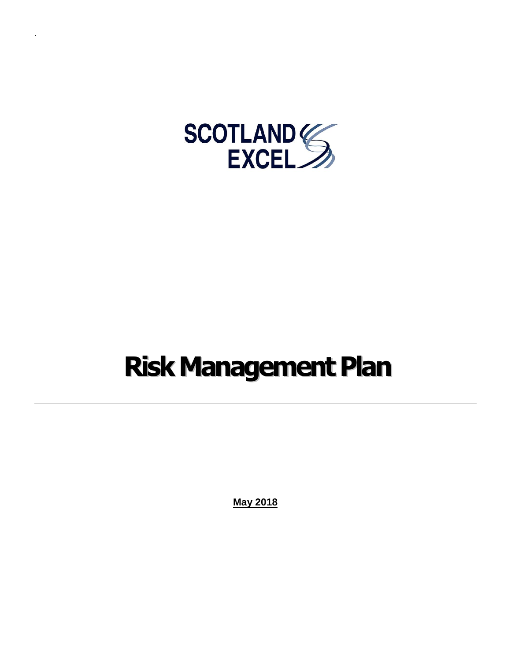

# **Risk Management Plan**

**May 2018**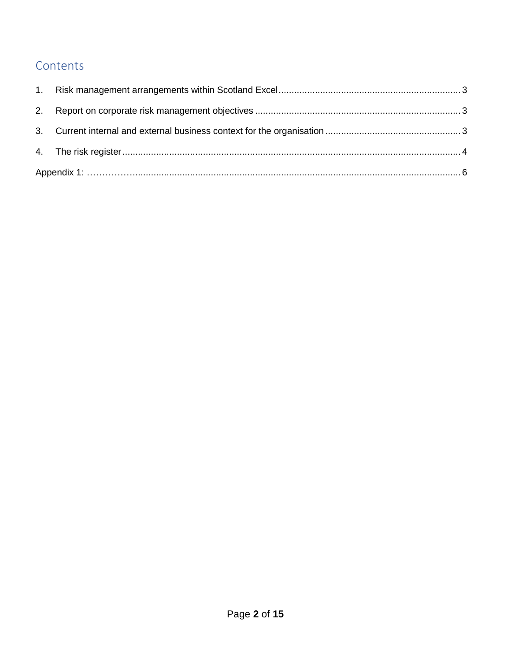# Contents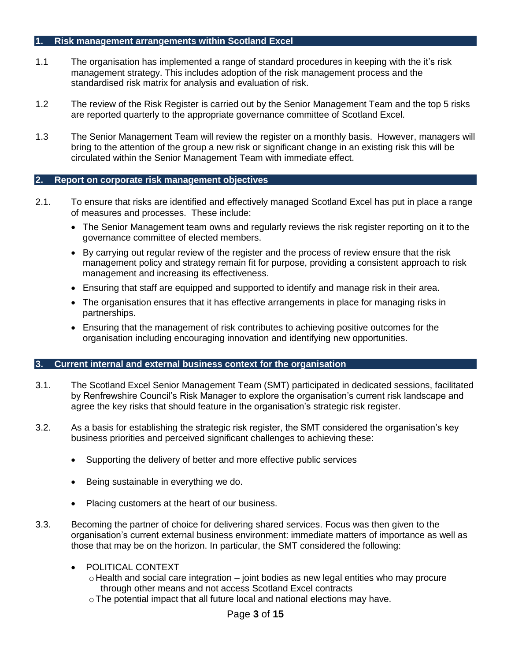#### <span id="page-6-0"></span>**1. Risk management arrangements within Scotland Excel**

- 1.1 The organisation has implemented a range of standard procedures in keeping with the it's risk management strategy. This includes adoption of the risk management process and the standardised risk matrix for analysis and evaluation of risk.
- 1.2 The review of the Risk Register is carried out by the Senior Management Team and the top 5 risks are reported quarterly to the appropriate governance committee of Scotland Excel.
- 1.3 The Senior Management Team will review the register on a monthly basis. However, managers will bring to the attention of the group a new risk or significant change in an existing risk this will be circulated within the Senior Management Team with immediate effect.

#### <span id="page-6-1"></span>**2. Report on corporate risk management objectives**

- 2.1. To ensure that risks are identified and effectively managed Scotland Excel has put in place a range of measures and processes. These include:
	- The Senior Management team owns and regularly reviews the risk register reporting on it to the governance committee of elected members.
	- By carrying out regular review of the register and the process of review ensure that the risk management policy and strategy remain fit for purpose, providing a consistent approach to risk management and increasing its effectiveness.
	- Ensuring that staff are equipped and supported to identify and manage risk in their area.
	- The organisation ensures that it has effective arrangements in place for managing risks in partnerships.
	- Ensuring that the management of risk contributes to achieving positive outcomes for the organisation including encouraging innovation and identifying new opportunities.

#### <span id="page-6-2"></span>**3. Current internal and external business context for the organisation**

- 3.1. The Scotland Excel Senior Management Team (SMT) participated in dedicated sessions, facilitated by Renfrewshire Council's Risk Manager to explore the organisation's current risk landscape and agree the key risks that should feature in the organisation's strategic risk register.
- 3.2. As a basis for establishing the strategic risk register, the SMT considered the organisation's key business priorities and perceived significant challenges to achieving these:
	- Supporting the delivery of better and more effective public services
	- Being sustainable in everything we do.
	- Placing customers at the heart of our business.
- 3.3. Becoming the partner of choice for delivering shared services. Focus was then given to the organisation's current external business environment: immediate matters of importance as well as those that may be on the horizon. In particular, the SMT considered the following:
	- POLITICAL CONTEXT
		- $\circ$  Health and social care integration joint bodies as new legal entities who may procure through other means and not access Scotland Excel contracts
		- oThe potential impact that all future local and national elections may have.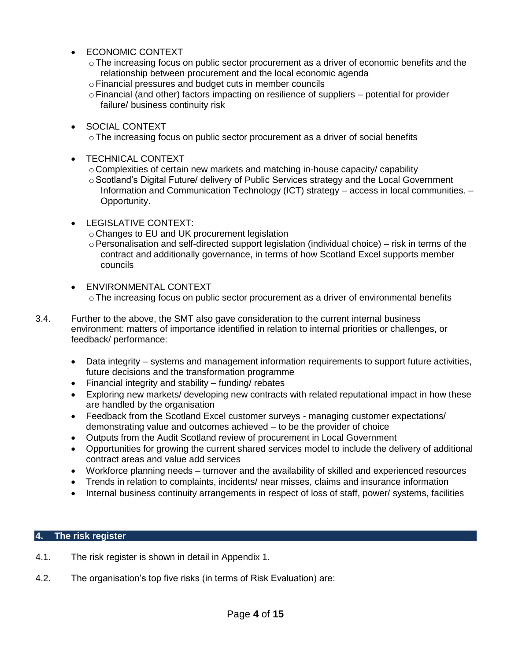- ECONOMIC CONTEXT
	- $\circ$  The increasing focus on public sector procurement as a driver of economic benefits and the relationship between procurement and the local economic agenda
	- oFinancial pressures and budget cuts in member councils
	- $\circ$  Financial (and other) factors impacting on resilience of suppliers potential for provider failure/ business continuity risk
- SOCIAL CONTEXT
	- o The increasing focus on public sector procurement as a driver of social benefits
- TECHNICAL CONTEXT
	- $\circ$  Complexities of certain new markets and matching in-house capacity/ capability
	- o Scotland's Digital Future/ delivery of Public Services strategy and the Local Government Information and Communication Technology (ICT) strategy – access in local communities. – Opportunity.
- LEGISLATIVE CONTEXT:
	- oChanges to EU and UK procurement legislation
	- $\circ$  Personalisation and self-directed support legislation (individual choice) risk in terms of the contract and additionally governance, in terms of how Scotland Excel supports member councils
- ENVIRONMENTAL CONTEXT  $\circ$  The increasing focus on public sector procurement as a driver of environmental benefits
- 3.4. Further to the above, the SMT also gave consideration to the current internal business environment: matters of importance identified in relation to internal priorities or challenges, or feedback/ performance:
	- Data integrity systems and management information requirements to support future activities, future decisions and the transformation programme
	- Financial integrity and stability funding/ rebates
	- Exploring new markets/ developing new contracts with related reputational impact in how these are handled by the organisation
	- Feedback from the Scotland Excel customer surveys managing customer expectations/ demonstrating value and outcomes achieved – to be the provider of choice
	- Outputs from the Audit Scotland review of procurement in Local Government
	- Opportunities for growing the current shared services model to include the delivery of additional contract areas and value add services
	- Workforce planning needs turnover and the availability of skilled and experienced resources
	- Trends in relation to complaints, incidents/ near misses, claims and insurance information
	- Internal business continuity arrangements in respect of loss of staff, power/ systems, facilities

#### <span id="page-7-0"></span>**4. The risk register**

- 4.1. The risk register is shown in detail in Appendix 1.
- 4.2. The organisation's top five risks (in terms of Risk Evaluation) are: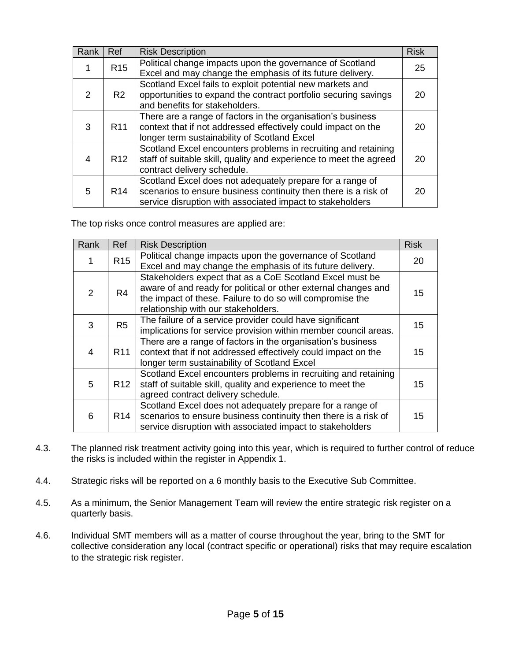| Rank          | Ref             | <b>Risk Description</b>                                                                                                                                                                   | <b>Risk</b> |
|---------------|-----------------|-------------------------------------------------------------------------------------------------------------------------------------------------------------------------------------------|-------------|
|               | R <sub>15</sub> | Political change impacts upon the governance of Scotland<br>Excel and may change the emphasis of its future delivery.                                                                     | 25          |
| $\mathcal{P}$ | R <sub>2</sub>  | Scotland Excel fails to exploit potential new markets and<br>opportunities to expand the contract portfolio securing savings<br>and benefits for stakeholders.                            | 20          |
| 3             | R <sub>11</sub> | There are a range of factors in the organisation's business<br>context that if not addressed effectively could impact on the<br>longer term sustainability of Scotland Excel              | 20          |
| 4             | R <sub>12</sub> | Scotland Excel encounters problems in recruiting and retaining<br>staff of suitable skill, quality and experience to meet the agreed<br>contract delivery schedule.                       | 20          |
| 5             | R <sub>14</sub> | Scotland Excel does not adequately prepare for a range of<br>scenarios to ensure business continuity then there is a risk of<br>service disruption with associated impact to stakeholders | 20          |

The top risks once control measures are applied are:

| Rank          | Ref             | <b>Risk Description</b>                                                                                                                                                                                                        | <b>Risk</b> |
|---------------|-----------------|--------------------------------------------------------------------------------------------------------------------------------------------------------------------------------------------------------------------------------|-------------|
|               | R <sub>15</sub> | Political change impacts upon the governance of Scotland<br>Excel and may change the emphasis of its future delivery.                                                                                                          | 20          |
| $\mathcal{P}$ | R4              | Stakeholders expect that as a CoE Scotland Excel must be<br>aware of and ready for political or other external changes and<br>the impact of these. Failure to do so will compromise the<br>relationship with our stakeholders. | 15          |
| 3             | R <sub>5</sub>  | The failure of a service provider could have significant<br>implications for service provision within member council areas.                                                                                                    | 15          |
| 4             | R <sub>11</sub> | There are a range of factors in the organisation's business<br>context that if not addressed effectively could impact on the<br>longer term sustainability of Scotland Excel                                                   | 15          |
| 5             | R <sub>12</sub> | Scotland Excel encounters problems in recruiting and retaining<br>staff of suitable skill, quality and experience to meet the<br>agreed contract delivery schedule.                                                            | 15          |
| 6             | R <sub>14</sub> | Scotland Excel does not adequately prepare for a range of<br>scenarios to ensure business continuity then there is a risk of<br>service disruption with associated impact to stakeholders                                      | 15          |

- 4.3. The planned risk treatment activity going into this year, which is required to further control of reduce the risks is included within the register in Appendix 1.
- 4.4. Strategic risks will be reported on a 6 monthly basis to the Executive Sub Committee.
- 4.5. As a minimum, the Senior Management Team will review the entire strategic risk register on a quarterly basis.
- 4.6. Individual SMT members will as a matter of course throughout the year, bring to the SMT for collective consideration any local (contract specific or operational) risks that may require escalation to the strategic risk register.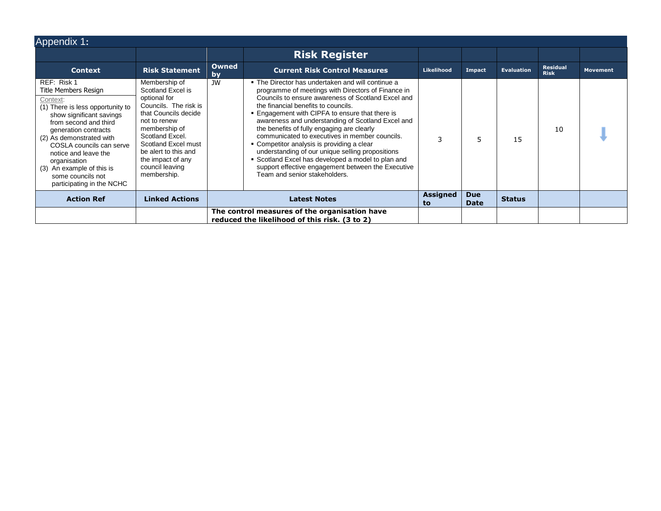<span id="page-10-0"></span>

| Appendix 1:                                                                                                                                                                                                                                                                                                                                     |                                                                                                                                                                                                                                                               |                    |                                                                                                                                                                                                                                                                                                                                                                                                                                                                                                                                                                                                                                                             |                |                           |                   |                                |                 |
|-------------------------------------------------------------------------------------------------------------------------------------------------------------------------------------------------------------------------------------------------------------------------------------------------------------------------------------------------|---------------------------------------------------------------------------------------------------------------------------------------------------------------------------------------------------------------------------------------------------------------|--------------------|-------------------------------------------------------------------------------------------------------------------------------------------------------------------------------------------------------------------------------------------------------------------------------------------------------------------------------------------------------------------------------------------------------------------------------------------------------------------------------------------------------------------------------------------------------------------------------------------------------------------------------------------------------------|----------------|---------------------------|-------------------|--------------------------------|-----------------|
|                                                                                                                                                                                                                                                                                                                                                 |                                                                                                                                                                                                                                                               |                    | <b>Risk Register</b>                                                                                                                                                                                                                                                                                                                                                                                                                                                                                                                                                                                                                                        |                |                           |                   |                                |                 |
| <b>Context</b>                                                                                                                                                                                                                                                                                                                                  | <b>Risk Statement</b>                                                                                                                                                                                                                                         | <b>Owned</b><br>by | <b>Current Risk Control Measures</b>                                                                                                                                                                                                                                                                                                                                                                                                                                                                                                                                                                                                                        | Likelihood     | Impact                    | <b>Evaluation</b> | <b>Residual</b><br><b>Risk</b> | <b>Movement</b> |
| REF: Risk 1<br>Title Members Resign<br>Context:<br>(1) There is less opportunity to<br>show significant savings<br>from second and third<br>generation contracts<br>(2) As demonstrated with<br>COSLA councils can serve<br>notice and leave the<br>organisation<br>(3) An example of this is<br>some councils not<br>participating in the NCHC | Membership of<br>Scotland Excel is<br>optional for<br>Councils. The risk is<br>that Councils decide<br>not to renew<br>membership of<br>Scotland Excel.<br>Scotland Excel must<br>be alert to this and<br>the impact of any<br>council leaving<br>membership. | JW                 | • The Director has undertaken and will continue a<br>programme of meetings with Directors of Finance in<br>Councils to ensure awareness of Scotland Excel and<br>the financial benefits to councils.<br>• Engagement with CIPFA to ensure that there is<br>awareness and understanding of Scotland Excel and<br>the benefits of fully engaging are clearly<br>communicated to executives in member councils.<br>• Competitor analysis is providing a clear<br>understanding of our unique selling propositions<br>• Scotland Excel has developed a model to plan and<br>support effective engagement between the Executive<br>Team and senior stakeholders. |                | 5                         | 15                | 10                             |                 |
| <b>Action Ref</b>                                                                                                                                                                                                                                                                                                                               | <b>Linked Actions</b>                                                                                                                                                                                                                                         |                    | <b>Latest Notes</b>                                                                                                                                                                                                                                                                                                                                                                                                                                                                                                                                                                                                                                         | Assigned<br>to | <b>Due</b><br><b>Date</b> | <b>Status</b>     |                                |                 |
|                                                                                                                                                                                                                                                                                                                                                 |                                                                                                                                                                                                                                                               |                    | The control measures of the organisation have<br>reduced the likelihood of this risk. (3 to 2)                                                                                                                                                                                                                                                                                                                                                                                                                                                                                                                                                              |                |                           |                   |                                |                 |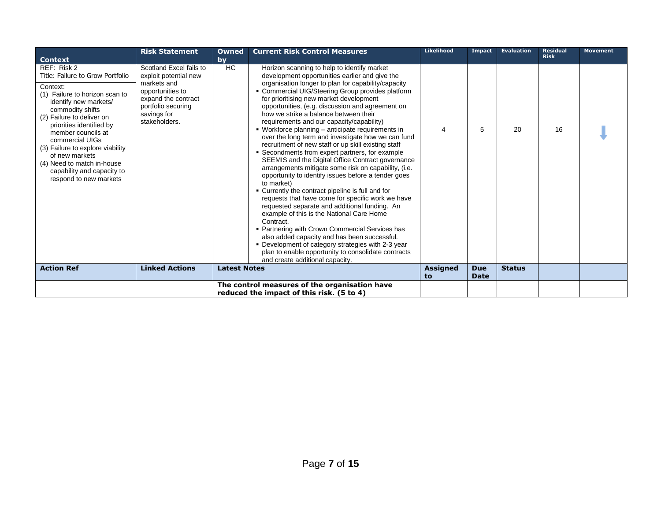|                                                                                                                                                                                                                                                                                                                                                                                                            | <b>Risk Statement</b>                                                                                                                                            | <b>Owned</b>        | <b>Current Risk Control Measures</b>                                                                                                                                                                                                                                                                                                                                                                                                                                                                                                                                                                                                                                                                                                                                                                                                                                                                                                                                                                                                                                                                                                                                                                                                                                          | <b>Likelihood</b>     | Impact                    | Evaluation    | <b>Residual</b><br><b>Risk</b> | <b>Movement</b> |
|------------------------------------------------------------------------------------------------------------------------------------------------------------------------------------------------------------------------------------------------------------------------------------------------------------------------------------------------------------------------------------------------------------|------------------------------------------------------------------------------------------------------------------------------------------------------------------|---------------------|-------------------------------------------------------------------------------------------------------------------------------------------------------------------------------------------------------------------------------------------------------------------------------------------------------------------------------------------------------------------------------------------------------------------------------------------------------------------------------------------------------------------------------------------------------------------------------------------------------------------------------------------------------------------------------------------------------------------------------------------------------------------------------------------------------------------------------------------------------------------------------------------------------------------------------------------------------------------------------------------------------------------------------------------------------------------------------------------------------------------------------------------------------------------------------------------------------------------------------------------------------------------------------|-----------------------|---------------------------|---------------|--------------------------------|-----------------|
| <b>Context</b><br>REF: Risk 2<br>Title: Failure to Grow Portfolio<br>Context:<br>(1) Failure to horizon scan to<br>identify new markets/<br>commodity shifts<br>(2) Failure to deliver on<br>priorities identified by<br>member councils at<br>commercial UIGs<br>(3) Failure to explore viability<br>of new markets<br>(4) Need to match in-house<br>capability and capacity to<br>respond to new markets | Scotland Excel fails to<br>exploit potential new<br>markets and<br>opportunities to<br>expand the contract<br>portfolio securing<br>savings for<br>stakeholders. | bv<br><b>HC</b>     | Horizon scanning to help to identify market<br>development opportunities earlier and give the<br>organisation longer to plan for capability/capacity<br>• Commercial UIG/Steering Group provides platform<br>for prioritising new market development<br>opportunities, (e.g. discussion and agreement on<br>how we strike a balance between their<br>requirements and our capacity/capability)<br>• Workforce planning - anticipate requirements in<br>over the long term and investigate how we can fund<br>recruitment of new staff or up skill existing staff<br>• Secondments from expert partners, for example<br>SEEMIS and the Digital Office Contract governance<br>arrangements mitigate some risk on capability, (i.e.<br>opportunity to identify issues before a tender goes<br>to market)<br>• Currently the contract pipeline is full and for<br>requests that have come for specific work we have<br>requested separate and additional funding. An<br>example of this is the National Care Home<br>Contract.<br>• Partnering with Crown Commercial Services has<br>also added capacity and has been successful.<br>• Development of category strategies with 2-3 year<br>plan to enable opportunity to consolidate contracts<br>and create additional capacity. | 4                     | 5                         | 20            | 16                             |                 |
| <b>Action Ref</b>                                                                                                                                                                                                                                                                                                                                                                                          | <b>Linked Actions</b>                                                                                                                                            | <b>Latest Notes</b> |                                                                                                                                                                                                                                                                                                                                                                                                                                                                                                                                                                                                                                                                                                                                                                                                                                                                                                                                                                                                                                                                                                                                                                                                                                                                               | <b>Assigned</b><br>to | <b>Due</b><br><b>Date</b> | <b>Status</b> |                                |                 |
|                                                                                                                                                                                                                                                                                                                                                                                                            |                                                                                                                                                                  |                     | The control measures of the organisation have                                                                                                                                                                                                                                                                                                                                                                                                                                                                                                                                                                                                                                                                                                                                                                                                                                                                                                                                                                                                                                                                                                                                                                                                                                 |                       |                           |               |                                |                 |
|                                                                                                                                                                                                                                                                                                                                                                                                            |                                                                                                                                                                  |                     | reduced the impact of this risk. (5 to 4)                                                                                                                                                                                                                                                                                                                                                                                                                                                                                                                                                                                                                                                                                                                                                                                                                                                                                                                                                                                                                                                                                                                                                                                                                                     |                       |                           |               |                                |                 |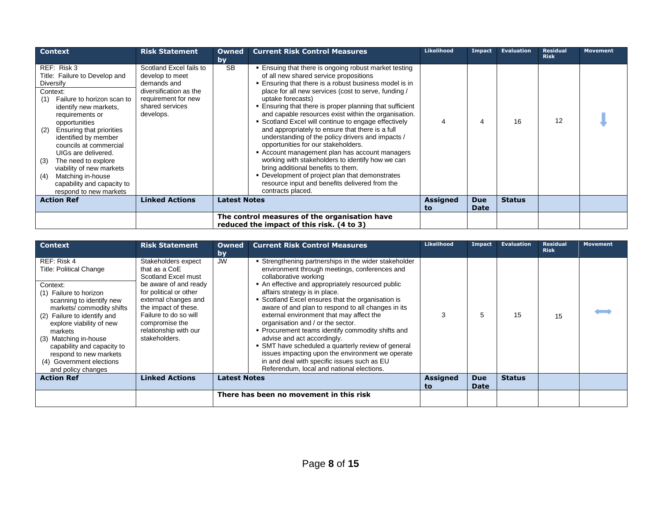| <b>Context</b>                                                                                                                                                                                                                                                                                                                                                                                                                    | <b>Risk Statement</b>                                                                                                                      | Owned<br>by         | <b>Current Risk Control Measures</b>                                                                                                                                                                                                                                                                                                                                                                                                                                                                                                                                                                                                                                                                                                                                                                                                   | Likelihood            | Impact                    | <b>Evaluation</b> | <b>Residual</b><br><b>Risk</b> | <b>Movement</b> |
|-----------------------------------------------------------------------------------------------------------------------------------------------------------------------------------------------------------------------------------------------------------------------------------------------------------------------------------------------------------------------------------------------------------------------------------|--------------------------------------------------------------------------------------------------------------------------------------------|---------------------|----------------------------------------------------------------------------------------------------------------------------------------------------------------------------------------------------------------------------------------------------------------------------------------------------------------------------------------------------------------------------------------------------------------------------------------------------------------------------------------------------------------------------------------------------------------------------------------------------------------------------------------------------------------------------------------------------------------------------------------------------------------------------------------------------------------------------------------|-----------------------|---------------------------|-------------------|--------------------------------|-----------------|
| REF: Risk 3<br>Title: Failure to Develop and<br>Diversify<br>Context:<br>Failure to horizon scan to<br>(1)<br>identify new markets,<br>requirements or<br>opportunities<br>Ensuring that priorities<br>(2)<br>identified by member<br>councils at commercial<br>UIGs are delivered.<br>The need to explore<br>(3)<br>viability of new markets<br>Matching in-house<br>(4)<br>capability and capacity to<br>respond to new markets | Scotland Excel fails to<br>develop to meet<br>demands and<br>diversification as the<br>requirement for new<br>shared services<br>develops. | <b>SB</b>           | . Ensuing that there is ongoing robust market testing<br>of all new shared service propositions<br>. Ensuring that there is a robust business model is in<br>place for all new services (cost to serve, funding /<br>uptake forecasts)<br>. Ensuring that there is proper planning that sufficient<br>and capable resources exist within the organisation.<br>• Scotland Excel will continue to engage effectively<br>and appropriately to ensure that there is a full<br>understanding of the policy drivers and impacts /<br>opportunities for our stakeholders.<br>Account management plan has account managers<br>working with stakeholders to identify how we can<br>bring additional benefits to them.<br>• Development of project plan that demonstrates<br>resource input and benefits delivered from the<br>contracts placed. |                       | 4                         | 16                | 12                             |                 |
| <b>Action Ref</b>                                                                                                                                                                                                                                                                                                                                                                                                                 | <b>Linked Actions</b>                                                                                                                      | <b>Latest Notes</b> |                                                                                                                                                                                                                                                                                                                                                                                                                                                                                                                                                                                                                                                                                                                                                                                                                                        | <b>Assigned</b><br>to | <b>Due</b><br><b>Date</b> | <b>Status</b>     |                                |                 |
|                                                                                                                                                                                                                                                                                                                                                                                                                                   |                                                                                                                                            |                     | The control measures of the organisation have<br>reduced the impact of this risk. (4 to 3)                                                                                                                                                                                                                                                                                                                                                                                                                                                                                                                                                                                                                                                                                                                                             |                       |                           |                   |                                |                 |

| <b>Context</b>                                                                                                                                                                                                                                                                                                                                       | <b>Risk Statement</b>                                                                                                                                                                                                                               | <b>Owned</b><br>by  | <b>Current Risk Control Measures</b>                                                                                                                                                                                                                                                                                                                                                                                                                                                                                                                                                                                                                                                                      | <b>Likelihood</b>     | Impact                    | <b>Evaluation</b> | <b>Residual</b><br><b>Risk</b> | Movement |
|------------------------------------------------------------------------------------------------------------------------------------------------------------------------------------------------------------------------------------------------------------------------------------------------------------------------------------------------------|-----------------------------------------------------------------------------------------------------------------------------------------------------------------------------------------------------------------------------------------------------|---------------------|-----------------------------------------------------------------------------------------------------------------------------------------------------------------------------------------------------------------------------------------------------------------------------------------------------------------------------------------------------------------------------------------------------------------------------------------------------------------------------------------------------------------------------------------------------------------------------------------------------------------------------------------------------------------------------------------------------------|-----------------------|---------------------------|-------------------|--------------------------------|----------|
| REF: Risk 4<br><b>Title: Political Change</b><br>Context:<br>(1) Failure to horizon<br>scanning to identify new<br>markets/commodity shifts<br>(2) Failure to identify and<br>explore viability of new<br>markets<br>(3) Matching in-house<br>capability and capacity to<br>respond to new markets<br>(4) Government elections<br>and policy changes | Stakeholders expect<br>that as a CoE<br>Scotland Excel must<br>be aware of and ready<br>for political or other<br>external changes and<br>the impact of these.<br>Failure to do so will<br>compromise the<br>relationship with our<br>stakeholders. | <b>JW</b>           | • Strengthening partnerships in the wider stakeholder<br>environment through meetings, conferences and<br>collaborative working<br>• An effective and appropriately resourced public<br>affairs strategy is in place.<br>• Scotland Excel ensures that the organisation is<br>aware of and plan to respond to all changes in its<br>external environment that may affect the<br>organisation and / or the sector.<br>• Procurement teams identify commodity shifts and<br>advise and act accordingly.<br>SMT have scheduled a quarterly review of general<br>issues impacting upon the environment we operate<br>in and deal with specific issues such as EU<br>Referendum, local and national elections. | 3                     | 5                         | 15                | 15                             |          |
| <b>Action Ref</b>                                                                                                                                                                                                                                                                                                                                    | <b>Linked Actions</b>                                                                                                                                                                                                                               | <b>Latest Notes</b> |                                                                                                                                                                                                                                                                                                                                                                                                                                                                                                                                                                                                                                                                                                           | <b>Assigned</b><br>to | <b>Due</b><br><b>Date</b> | <b>Status</b>     |                                |          |
|                                                                                                                                                                                                                                                                                                                                                      |                                                                                                                                                                                                                                                     |                     | There has been no movement in this risk                                                                                                                                                                                                                                                                                                                                                                                                                                                                                                                                                                                                                                                                   |                       |                           |                   |                                |          |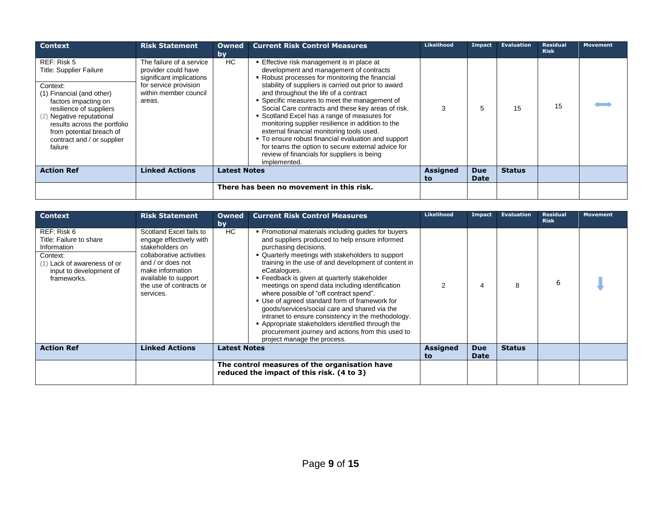| <b>Context</b>                                                                                                                                                                                                                                                              | <b>Risk Statement</b>                                                                                                                   | Owned<br>by         | <b>Current Risk Control Measures</b>                                                                                                                                                                                                                                                                                                                                                                                                                                                                                                                                                                                                                                           | Likelihood             | Impact                    | <b>Evaluation</b> | <b>Residual</b><br><b>Risk</b> | <b>Movement</b> |
|-----------------------------------------------------------------------------------------------------------------------------------------------------------------------------------------------------------------------------------------------------------------------------|-----------------------------------------------------------------------------------------------------------------------------------------|---------------------|--------------------------------------------------------------------------------------------------------------------------------------------------------------------------------------------------------------------------------------------------------------------------------------------------------------------------------------------------------------------------------------------------------------------------------------------------------------------------------------------------------------------------------------------------------------------------------------------------------------------------------------------------------------------------------|------------------------|---------------------------|-------------------|--------------------------------|-----------------|
| REF: Risk 5<br><b>Title: Supplier Failure</b><br>Context:<br>(1) Financial (and other)<br>factors impacting on<br>resilience of suppliers<br>(2) Negative reputational<br>results across the portfolio<br>from potential breach of<br>contract and / or supplier<br>failure | The failure of a service<br>provider could have<br>significant implications<br>for service provision<br>within member council<br>areas. | HC.                 | ■ Effective risk management is in place at<br>development and management of contracts<br>• Robust processes for monitoring the financial<br>stability of suppliers is carried out prior to award<br>and throughout the life of a contract<br>• Specific measures to meet the management of<br>Social Care contracts and these key areas of risk.<br>• Scotland Excel has a range of measures for<br>monitoring supplier resilience in addition to the<br>external financial monitoring tools used.<br>• To ensure robust financial evaluation and support<br>for teams the option to secure external advice for<br>review of financials for suppliers is being<br>implemented. | 3                      | 5                         | 15                | 15                             |                 |
| <b>Action Ref</b>                                                                                                                                                                                                                                                           | <b>Linked Actions</b>                                                                                                                   | <b>Latest Notes</b> |                                                                                                                                                                                                                                                                                                                                                                                                                                                                                                                                                                                                                                                                                | <b>Assigned</b><br>to. | <b>Due</b><br><b>Date</b> | <b>Status</b>     |                                |                 |
|                                                                                                                                                                                                                                                                             |                                                                                                                                         |                     | There has been no movement in this risk.                                                                                                                                                                                                                                                                                                                                                                                                                                                                                                                                                                                                                                       |                        |                           |                   |                                |                 |

| <b>Context</b>                                                                                                                             | <b>Risk Statement</b>                                                                                                                                                                                      | <b>Owned</b><br>bv  | <b>Current Risk Control Measures</b>                                                                                                                                                                                                                                                                                                                                                                                                                                                                                                                                                                                                                                                                      | <b>Likelihood</b>     | Impact                    | <b>Evaluation</b> | <b>Residual</b><br><b>Risk</b> | <b>Movement</b> |
|--------------------------------------------------------------------------------------------------------------------------------------------|------------------------------------------------------------------------------------------------------------------------------------------------------------------------------------------------------------|---------------------|-----------------------------------------------------------------------------------------------------------------------------------------------------------------------------------------------------------------------------------------------------------------------------------------------------------------------------------------------------------------------------------------------------------------------------------------------------------------------------------------------------------------------------------------------------------------------------------------------------------------------------------------------------------------------------------------------------------|-----------------------|---------------------------|-------------------|--------------------------------|-----------------|
| REF: Risk 6<br>Title: Failure to share<br>Information<br>Context:<br>(1) Lack of awareness of or<br>input to development of<br>frameworks. | Scotland Excel fails to<br>engage effectively with<br>stakeholders on<br>collaborative activities<br>and / or does not<br>make information<br>available to support<br>the use of contracts or<br>services. | HC                  | • Promotional materials including guides for buyers<br>and suppliers produced to help ensure informed<br>purchasing decisions.<br>. Quarterly meetings with stakeholders to support<br>training in the use of and development of content in<br>eCatalogues.<br>• Feedback is given at quarterly stakeholder<br>meetings on spend data including identification<br>where possible of "off contract spend".<br>• Use of agreed standard form of framework for<br>goods/services/social care and shared via the<br>intranet to ensure consistency in the methodology.<br>Appropriate stakeholders identified through the<br>procurement journey and actions from this used to<br>project manage the process. | $\mathfrak{p}$        |                           |                   | 6                              |                 |
| <b>Action Ref</b>                                                                                                                          | <b>Linked Actions</b>                                                                                                                                                                                      | <b>Latest Notes</b> |                                                                                                                                                                                                                                                                                                                                                                                                                                                                                                                                                                                                                                                                                                           | <b>Assigned</b><br>to | <b>Due</b><br><b>Date</b> | <b>Status</b>     |                                |                 |
|                                                                                                                                            |                                                                                                                                                                                                            |                     | The control measures of the organisation have<br>reduced the impact of this risk. (4 to 3)                                                                                                                                                                                                                                                                                                                                                                                                                                                                                                                                                                                                                |                       |                           |                   |                                |                 |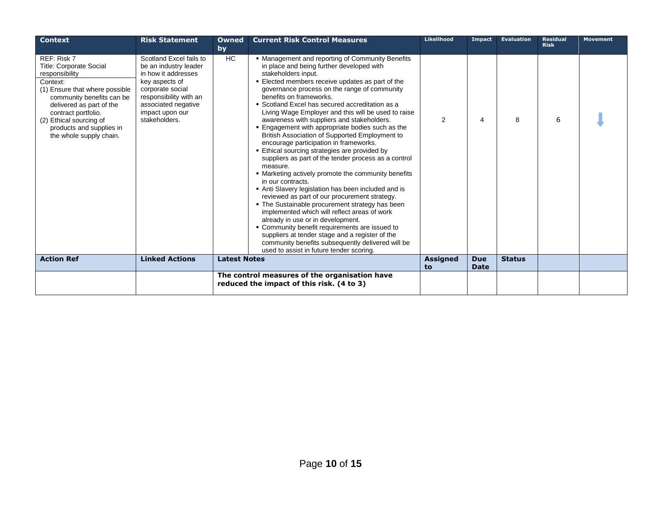| <b>Context</b>                                                                                                                                                                                                                                                                  | <b>Risk Statement</b>                                                                                                                                                                              | Owned<br>by         | <b>Current Risk Control Measures</b>                                                                                                                                                                                                                                                                                                                                                                                                                                                                                                                                                                                                                                                                                                                                                                                                                                                                                                                                                                                                                                                                                                                                                                         | Likelihood            | Impact                    | <b>Evaluation</b> | <b>Residual</b><br><b>Risk</b> | <b>Movement</b> |
|---------------------------------------------------------------------------------------------------------------------------------------------------------------------------------------------------------------------------------------------------------------------------------|----------------------------------------------------------------------------------------------------------------------------------------------------------------------------------------------------|---------------------|--------------------------------------------------------------------------------------------------------------------------------------------------------------------------------------------------------------------------------------------------------------------------------------------------------------------------------------------------------------------------------------------------------------------------------------------------------------------------------------------------------------------------------------------------------------------------------------------------------------------------------------------------------------------------------------------------------------------------------------------------------------------------------------------------------------------------------------------------------------------------------------------------------------------------------------------------------------------------------------------------------------------------------------------------------------------------------------------------------------------------------------------------------------------------------------------------------------|-----------------------|---------------------------|-------------------|--------------------------------|-----------------|
| REF: Risk 7<br><b>Title: Corporate Social</b><br>responsibility<br>Context:<br>(1) Ensure that where possible<br>community benefits can be<br>delivered as part of the<br>contract portfolio.<br>(2) Ethical sourcing of<br>products and supplies in<br>the whole supply chain. | Scotland Excel fails to<br>be an industry leader<br>in how it addresses<br>key aspects of<br>corporate social<br>responsibility with an<br>associated negative<br>impact upon our<br>stakeholders. | HC                  | • Management and reporting of Community Benefits<br>in place and being further developed with<br>stakeholders input.<br>Elected members receive updates as part of the<br>governance process on the range of community<br>benefits on frameworks.<br>• Scotland Excel has secured accreditation as a<br>Living Wage Employer and this will be used to raise<br>awareness with suppliers and stakeholders.<br>. Engagement with appropriate bodies such as the<br>British Association of Supported Employment to<br>encourage participation in frameworks.<br>Ethical sourcing strategies are provided by<br>suppliers as part of the tender process as a control<br>measure.<br>• Marketing actively promote the community benefits<br>in our contracts.<br>Anti Slavery legislation has been included and is<br>reviewed as part of our procurement strategy.<br>. The Sustainable procurement strategy has been<br>implemented which will reflect areas of work<br>already in use or in development.<br>• Community benefit requirements are issued to<br>suppliers at tender stage and a register of the<br>community benefits subsequently delivered will be<br>used to assist in future tender scoring. | 2                     | 4                         | 8                 | 6                              |                 |
| <b>Action Ref</b>                                                                                                                                                                                                                                                               | <b>Linked Actions</b>                                                                                                                                                                              | <b>Latest Notes</b> |                                                                                                                                                                                                                                                                                                                                                                                                                                                                                                                                                                                                                                                                                                                                                                                                                                                                                                                                                                                                                                                                                                                                                                                                              | <b>Assigned</b><br>to | <b>Due</b><br><b>Date</b> | <b>Status</b>     |                                |                 |
|                                                                                                                                                                                                                                                                                 |                                                                                                                                                                                                    |                     | The control measures of the organisation have<br>reduced the impact of this risk. (4 to 3)                                                                                                                                                                                                                                                                                                                                                                                                                                                                                                                                                                                                                                                                                                                                                                                                                                                                                                                                                                                                                                                                                                                   |                       |                           |                   |                                |                 |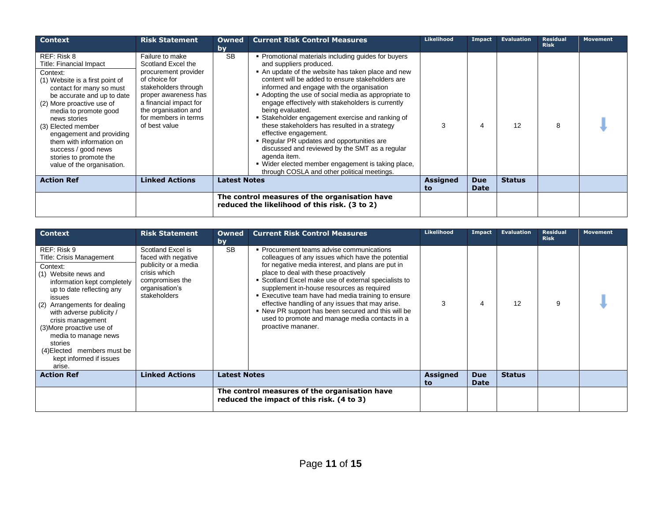| <b>Context</b>                                                                                                                                                                                                                                                                                                                                                                     | <b>Risk Statement</b>                                                                                                                                                                                                     | Owned<br>by         | <b>Current Risk Control Measures</b>                                                                                                                                                                                                                                                                                                                                                                                                                                                                                                                                                                                                                                                                                      | Likelihood            | Impact                    | <b>Evaluation</b> | <b>Residual</b><br><b>Risk</b> | Movement |
|------------------------------------------------------------------------------------------------------------------------------------------------------------------------------------------------------------------------------------------------------------------------------------------------------------------------------------------------------------------------------------|---------------------------------------------------------------------------------------------------------------------------------------------------------------------------------------------------------------------------|---------------------|---------------------------------------------------------------------------------------------------------------------------------------------------------------------------------------------------------------------------------------------------------------------------------------------------------------------------------------------------------------------------------------------------------------------------------------------------------------------------------------------------------------------------------------------------------------------------------------------------------------------------------------------------------------------------------------------------------------------------|-----------------------|---------------------------|-------------------|--------------------------------|----------|
| REF: Risk 8<br>Title: Financial Impact<br>Context:<br>(1) Website is a first point of<br>contact for many so must<br>be accurate and up to date<br>(2) More proactive use of<br>media to promote good<br>news stories<br>(3) Elected member<br>engagement and providing<br>them with information on<br>success / good news<br>stories to promote the<br>value of the organisation. | Failure to make<br>Scotland Excel the<br>procurement provider<br>of choice for<br>stakeholders through<br>proper awareness has<br>a financial impact for<br>the organisation and<br>for members in terms<br>of best value | <b>SB</b>           | • Promotional materials including guides for buyers<br>and suppliers produced.<br>• An update of the website has taken place and new<br>content will be added to ensure stakeholders are<br>informed and engage with the organisation<br>• Adopting the use of social media as appropriate to<br>engage effectively with stakeholders is currently<br>being evaluated.<br>• Stakeholder engagement exercise and ranking of<br>these stakeholders has resulted in a strategy<br>effective engagement.<br>• Regular PR updates and opportunities are<br>discussed and reviewed by the SMT as a regular<br>agenda item.<br>■ Wider elected member engagement is taking place,<br>through COSLA and other political meetings. | 3                     | 4                         | 12                | 8                              |          |
| <b>Action Ref</b>                                                                                                                                                                                                                                                                                                                                                                  | <b>Linked Actions</b>                                                                                                                                                                                                     | <b>Latest Notes</b> |                                                                                                                                                                                                                                                                                                                                                                                                                                                                                                                                                                                                                                                                                                                           | <b>Assigned</b><br>to | <b>Due</b><br><b>Date</b> | <b>Status</b>     |                                |          |
|                                                                                                                                                                                                                                                                                                                                                                                    |                                                                                                                                                                                                                           |                     | The control measures of the organisation have<br>reduced the likelihood of this risk. (3 to 2)                                                                                                                                                                                                                                                                                                                                                                                                                                                                                                                                                                                                                            |                       |                           |                   |                                |          |

| <b>Context</b>                                                                                                                                                                                                                                                                                                                                                            | <b>Risk Statement</b>                                                                                                                 | <b>Owned</b><br>bv  | <b>Current Risk Control Measures</b>                                                                                                                                                                                                                                                                                                                                                                                                                                                                                                     | Likelihood            | Impact                    | Evaluation    | <b>Residual</b><br><b>Risk</b> | <b>Movement</b> |
|---------------------------------------------------------------------------------------------------------------------------------------------------------------------------------------------------------------------------------------------------------------------------------------------------------------------------------------------------------------------------|---------------------------------------------------------------------------------------------------------------------------------------|---------------------|------------------------------------------------------------------------------------------------------------------------------------------------------------------------------------------------------------------------------------------------------------------------------------------------------------------------------------------------------------------------------------------------------------------------------------------------------------------------------------------------------------------------------------------|-----------------------|---------------------------|---------------|--------------------------------|-----------------|
| REF: Risk 9<br>Title: Crisis Management<br>Context:<br>(1) Website news and<br>information kept completely<br>up to date reflecting any<br>issues<br>Arrangements for dealing<br>(2)<br>with adverse publicity /<br>crisis management<br>(3) More proactive use of<br>media to manage news<br>stories<br>(4) Elected members must be<br>kept informed if issues<br>arise. | Scotland Excel is<br>faced with negative<br>publicity or a media<br>crisis which<br>compromises the<br>organisation's<br>stakeholders | <b>SB</b>           | • Procurement teams advise communications<br>colleagues of any issues which have the potential<br>for negative media interest, and plans are put in<br>place to deal with these proactively<br>• Scotland Excel make use of external specialists to<br>supplement in-house resources as required<br>■ Executive team have had media training to ensure<br>effective handling of any issues that may arise.<br>. New PR support has been secured and this will be<br>used to promote and manage media contacts in a<br>proactive mananer. | 3                     | 4                         | 12            | 9                              |                 |
| <b>Action Ref</b>                                                                                                                                                                                                                                                                                                                                                         | <b>Linked Actions</b>                                                                                                                 | <b>Latest Notes</b> |                                                                                                                                                                                                                                                                                                                                                                                                                                                                                                                                          | <b>Assigned</b><br>to | <b>Due</b><br><b>Date</b> | <b>Status</b> |                                |                 |
|                                                                                                                                                                                                                                                                                                                                                                           |                                                                                                                                       |                     | The control measures of the organisation have<br>reduced the impact of this risk. (4 to 3)                                                                                                                                                                                                                                                                                                                                                                                                                                               |                       |                           |               |                                |                 |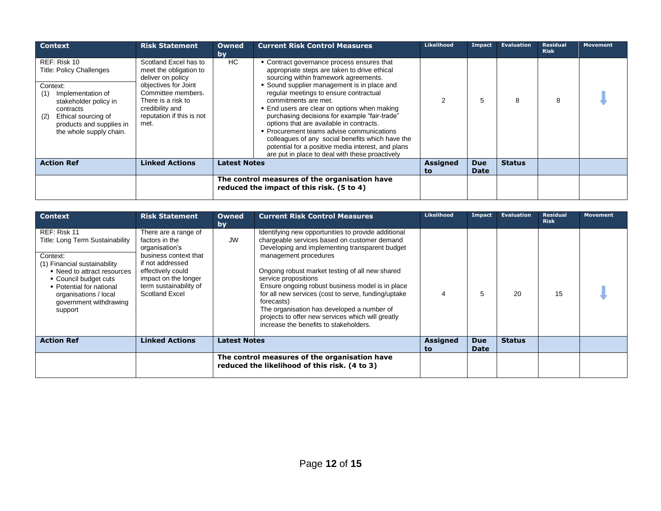| <b>Context</b>                                                                                                                                                                                                     | <b>Risk Statement</b>                                                                                                                                                                            | <b>Owned</b><br>bv  | <b>Current Risk Control Measures</b>                                                                                                                                                                                                                                                                                                                                                                                                                                                                                                                                                                        | Likelihood            | Impact                    | <b>Evaluation</b> | <b>Residual</b><br><b>Risk</b> | <b>Movement</b> |
|--------------------------------------------------------------------------------------------------------------------------------------------------------------------------------------------------------------------|--------------------------------------------------------------------------------------------------------------------------------------------------------------------------------------------------|---------------------|-------------------------------------------------------------------------------------------------------------------------------------------------------------------------------------------------------------------------------------------------------------------------------------------------------------------------------------------------------------------------------------------------------------------------------------------------------------------------------------------------------------------------------------------------------------------------------------------------------------|-----------------------|---------------------------|-------------------|--------------------------------|-----------------|
| REF: Risk 10<br><b>Title: Policy Challenges</b><br>Context:<br>Implementation of<br>(1)<br>stakeholder policy in<br>contracts<br>Ethical sourcing of<br>(2)<br>products and supplies in<br>the whole supply chain. | Scotland Excel has to<br>meet the obligation to<br>deliver on policy<br>objectives for Joint<br>Committee members.<br>There is a risk to<br>credibility and<br>reputation if this is not<br>met. | HC                  | • Contract governance process ensures that<br>appropriate steps are taken to drive ethical<br>sourcing within framework agreements.<br>• Sound supplier management is in place and<br>regular meetings to ensure contractual<br>commitments are met.<br>. End users are clear on options when making<br>purchasing decisions for example "fair-trade"<br>options that are available in contracts.<br>• Procurement teams advise communications<br>colleagues of any social benefits which have the<br>potential for a positive media interest, and plans<br>are put in place to deal with these proactively |                       |                           | 8                 | 8                              |                 |
| <b>Action Ref</b>                                                                                                                                                                                                  | <b>Linked Actions</b>                                                                                                                                                                            | <b>Latest Notes</b> |                                                                                                                                                                                                                                                                                                                                                                                                                                                                                                                                                                                                             | <b>Assigned</b><br>to | <b>Due</b><br><b>Date</b> | <b>Status</b>     |                                |                 |
|                                                                                                                                                                                                                    |                                                                                                                                                                                                  |                     | The control measures of the organisation have<br>reduced the impact of this risk. (5 to 4)                                                                                                                                                                                                                                                                                                                                                                                                                                                                                                                  |                       |                           |                   |                                |                 |

| <b>Context</b>                                                                                                                                                                                                                                | <b>Risk Statement</b>                                                                                                                                                                                 | <b>Owned</b><br>by  | <b>Current Risk Control Measures</b>                                                                                                                                                                                                                                                                                                                                                                                                                                                                                            | Likelihood            | Impact                    | <b>Evaluation</b> | <b>Residual</b><br><b>Risk</b> | <b>Movement</b> |
|-----------------------------------------------------------------------------------------------------------------------------------------------------------------------------------------------------------------------------------------------|-------------------------------------------------------------------------------------------------------------------------------------------------------------------------------------------------------|---------------------|---------------------------------------------------------------------------------------------------------------------------------------------------------------------------------------------------------------------------------------------------------------------------------------------------------------------------------------------------------------------------------------------------------------------------------------------------------------------------------------------------------------------------------|-----------------------|---------------------------|-------------------|--------------------------------|-----------------|
| REF: Risk 11<br>Title: Long Term Sustainability<br>Context:<br>(1) Financial sustainability<br>• Need to attract resources<br>• Council budget cuts<br>• Potential for national<br>organisations / local<br>government withdrawing<br>support | There are a range of<br>factors in the<br>organisation's<br>business context that<br>if not addressed<br>effectively could<br>impact on the longer<br>term sustainability of<br><b>Scotland Excel</b> | <b>JW</b>           | Identifying new opportunities to provide additional<br>chargeable services based on customer demand<br>Developing and implementing transparent budget<br>management procedures<br>Ongoing robust market testing of all new shared<br>service propositions<br>Ensure ongoing robust business model is in place<br>for all new services (cost to serve, funding/uptake<br>forecasts)<br>The organisation has developed a number of<br>projects to offer new services which will greatly<br>increase the benefits to stakeholders. | $\overline{4}$        | 5                         | 20                | 15                             |                 |
| <b>Action Ref</b>                                                                                                                                                                                                                             | Linked Actions                                                                                                                                                                                        | <b>Latest Notes</b> |                                                                                                                                                                                                                                                                                                                                                                                                                                                                                                                                 | <b>Assigned</b><br>to | <b>Due</b><br><b>Date</b> | <b>Status</b>     |                                |                 |
|                                                                                                                                                                                                                                               |                                                                                                                                                                                                       |                     | The control measures of the organisation have<br>reduced the likelihood of this risk. (4 to 3)                                                                                                                                                                                                                                                                                                                                                                                                                                  |                       |                           |                   |                                |                 |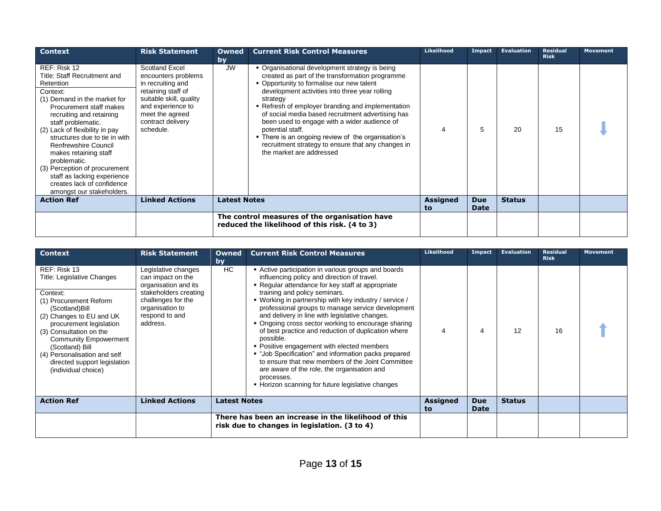| <b>Context</b>                                                                                                                                                                                                                                                                                                                                                                                                                                    | <b>Risk Statement</b>                                                                                                                                                                        | Owned<br>by         | <b>Current Risk Control Measures</b>                                                                                                                                                                                                                                                                                                                                                                                                                                                                                               | <b>Likelihood</b>     | <b>Impact</b>             | <b>Evaluation</b> | <b>Residual</b><br><b>Risk</b> | <b>Movement</b> |
|---------------------------------------------------------------------------------------------------------------------------------------------------------------------------------------------------------------------------------------------------------------------------------------------------------------------------------------------------------------------------------------------------------------------------------------------------|----------------------------------------------------------------------------------------------------------------------------------------------------------------------------------------------|---------------------|------------------------------------------------------------------------------------------------------------------------------------------------------------------------------------------------------------------------------------------------------------------------------------------------------------------------------------------------------------------------------------------------------------------------------------------------------------------------------------------------------------------------------------|-----------------------|---------------------------|-------------------|--------------------------------|-----------------|
| REF: Risk 12<br>Title: Staff Recruitment and<br>Retention<br>Context:<br>(1) Demand in the market for<br>Procurement staff makes<br>recruiting and retaining<br>staff problematic.<br>(2) Lack of flexibility in pay<br>structures due to tie in with<br>Renfrewshire Council<br>makes retaining staff<br>problematic.<br>(3) Perception of procurement<br>staff as lacking experience<br>creates lack of confidence<br>amongst our stakeholders. | <b>Scotland Excel</b><br>encounters problems<br>in recruiting and<br>retaining staff of<br>suitable skill, quality<br>and experience to<br>meet the agreed<br>contract delivery<br>schedule. | <b>JW</b>           | • Organisational development strategy is being<br>created as part of the transformation programme<br>• Opportunity to formalise our new talent<br>development activities into three year rolling<br>strategy<br>• Refresh of employer branding and implementation<br>of social media based recruitment advertising has<br>been used to engage with a wider audience of<br>potential staff.<br>• There is an ongoing review of the organisation's<br>recruitment strategy to ensure that any changes in<br>the market are addressed |                       | 5                         | 20                | 15                             |                 |
| <b>Action Ref</b>                                                                                                                                                                                                                                                                                                                                                                                                                                 | <b>Linked Actions</b>                                                                                                                                                                        | <b>Latest Notes</b> |                                                                                                                                                                                                                                                                                                                                                                                                                                                                                                                                    | <b>Assigned</b><br>to | <b>Due</b><br><b>Date</b> | <b>Status</b>     |                                |                 |
|                                                                                                                                                                                                                                                                                                                                                                                                                                                   |                                                                                                                                                                                              |                     | The control measures of the organisation have<br>reduced the likelihood of this risk. (4 to 3)                                                                                                                                                                                                                                                                                                                                                                                                                                     |                       |                           |                   |                                |                 |

| <b>Context</b>                                                                                                                                                                                                                                                                                                                 | <b>Risk Statement</b>                                                                                                                                            | Owned<br>by         | <b>Current Risk Control Measures</b>                                                                                                                                                                                                                                                                                                                                                                                                                                                                                                                                                                                                                                                                                                                              | Likelihood     | Impact                    | <b>Evaluation</b> | <b>Residual</b><br><b>Risk</b> | <b>Movement</b> |
|--------------------------------------------------------------------------------------------------------------------------------------------------------------------------------------------------------------------------------------------------------------------------------------------------------------------------------|------------------------------------------------------------------------------------------------------------------------------------------------------------------|---------------------|-------------------------------------------------------------------------------------------------------------------------------------------------------------------------------------------------------------------------------------------------------------------------------------------------------------------------------------------------------------------------------------------------------------------------------------------------------------------------------------------------------------------------------------------------------------------------------------------------------------------------------------------------------------------------------------------------------------------------------------------------------------------|----------------|---------------------------|-------------------|--------------------------------|-----------------|
| REF: Risk 13<br>Title: Legislative Changes<br>Context:<br>(1) Procurement Reform<br>(Scotland)Bill<br>(2) Changes to EU and UK<br>procurement legislation<br>(3) Consultation on the<br><b>Community Empowerment</b><br>(Scotland) Bill<br>(4) Personalisation and self<br>directed support legislation<br>(individual choice) | Legislative changes<br>can impact on the<br>organisation and its<br>stakeholders creating<br>challenges for the<br>organisation to<br>respond to and<br>address. | HC                  | • Active participation in various groups and boards<br>influencing policy and direction of travel.<br>• Regular attendance for key staff at appropriate<br>training and policy seminars.<br>• Working in partnership with key industry / service /<br>professional groups to manage service development<br>and delivery in line with legislative changes.<br>• Ongoing cross sector working to encourage sharing<br>of best practice and reduction of duplication where<br>possible.<br>• Positive engagement with elected members<br>• "Job Specification" and information packs prepared<br>to ensure that new members of the Joint Committee<br>are aware of the role, the organisation and<br>processes.<br>• Horizon scanning for future legislative changes | 4              | 4                         | 12                | 16                             |                 |
| <b>Action Ref</b>                                                                                                                                                                                                                                                                                                              | <b>Linked Actions</b>                                                                                                                                            | <b>Latest Notes</b> |                                                                                                                                                                                                                                                                                                                                                                                                                                                                                                                                                                                                                                                                                                                                                                   | Assigned<br>to | <b>Due</b><br><b>Date</b> | <b>Status</b>     |                                |                 |
|                                                                                                                                                                                                                                                                                                                                |                                                                                                                                                                  |                     | There has been an increase in the likelihood of this<br>risk due to changes in legislation. (3 to 4)                                                                                                                                                                                                                                                                                                                                                                                                                                                                                                                                                                                                                                                              |                |                           |                   |                                |                 |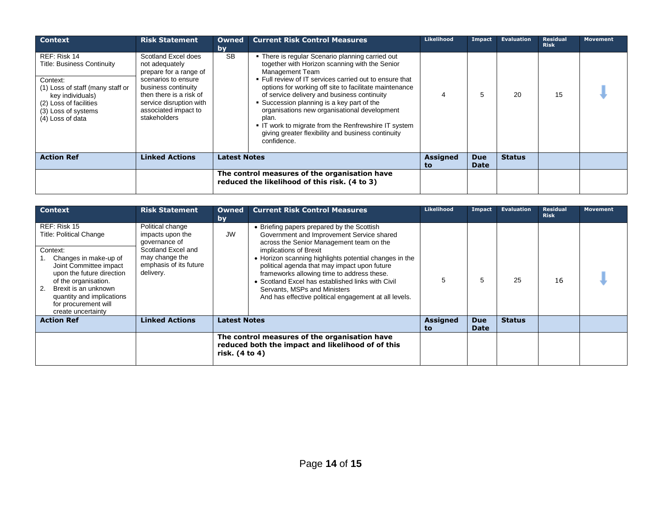| <b>Context</b>                                                                                                                                                                             | <b>Risk Statement</b>                                                                                                                                                                                       | <b>Owned</b><br>by  | <b>Current Risk Control Measures</b>                                                                                                                                                                                                                                                                                                                                                                                                                                                                                          | <b>Likelihood</b>     | Impact                    | <b>Evaluation</b> | <b>Residual</b><br><b>Risk</b> | <b>Movement</b> |
|--------------------------------------------------------------------------------------------------------------------------------------------------------------------------------------------|-------------------------------------------------------------------------------------------------------------------------------------------------------------------------------------------------------------|---------------------|-------------------------------------------------------------------------------------------------------------------------------------------------------------------------------------------------------------------------------------------------------------------------------------------------------------------------------------------------------------------------------------------------------------------------------------------------------------------------------------------------------------------------------|-----------------------|---------------------------|-------------------|--------------------------------|-----------------|
| REF: Risk 14<br><b>Title: Business Continuity</b><br>Context:<br>(1) Loss of staff (many staff or<br>key individuals)<br>(2) Loss of facilities<br>(3) Loss of systems<br>(4) Loss of data | Scotland Excel does<br>not adequately<br>prepare for a range of<br>scenarios to ensure<br>business continuity<br>then there is a risk of<br>service disruption with<br>associated impact to<br>stakeholders | <b>SB</b>           | • There is regular Scenario planning carried out<br>together with Horizon scanning with the Senior<br>Management Team<br>. Full review of IT services carried out to ensure that<br>options for working off site to facilitate maintenance<br>of service delivery and business continuity<br>• Succession planning is a key part of the<br>organisations new organisational development<br>plan.<br>• IT work to migrate from the Renfrewshire IT system<br>giving greater flexibility and business continuity<br>confidence. | 4                     | 5                         | 20                | 15                             |                 |
| <b>Action Ref</b>                                                                                                                                                                          | <b>Linked Actions</b>                                                                                                                                                                                       | <b>Latest Notes</b> |                                                                                                                                                                                                                                                                                                                                                                                                                                                                                                                               | <b>Assigned</b><br>to | <b>Due</b><br><b>Date</b> | <b>Status</b>     |                                |                 |
|                                                                                                                                                                                            |                                                                                                                                                                                                             |                     | The control measures of the organisation have<br>reduced the likelihood of this risk. (4 to 3)                                                                                                                                                                                                                                                                                                                                                                                                                                |                       |                           |                   |                                |                 |

| <b>Context</b>                                                                                                                                                                                                                                                              | <b>Risk Statement</b>                                                                                                                | <b>Owned</b><br>by                                                                                                   | <b>Current Risk Control Measures</b>                                                                                                                                                                                                                                                                                                                                                                                                                            | <b>Likelihood</b>     | Impact                    | <b>Evaluation</b> | <b>Residual</b><br><b>Risk</b> | <b>Movement</b> |
|-----------------------------------------------------------------------------------------------------------------------------------------------------------------------------------------------------------------------------------------------------------------------------|--------------------------------------------------------------------------------------------------------------------------------------|----------------------------------------------------------------------------------------------------------------------|-----------------------------------------------------------------------------------------------------------------------------------------------------------------------------------------------------------------------------------------------------------------------------------------------------------------------------------------------------------------------------------------------------------------------------------------------------------------|-----------------------|---------------------------|-------------------|--------------------------------|-----------------|
| REF: Risk 15<br><b>Title: Political Change</b><br>Context:<br>Changes in make-up of<br>Joint Committee impact<br>upon the future direction<br>of the organisation.<br>Brexit is an unknown<br>2.<br>quantity and implications<br>for procurement will<br>create uncertainty | Political change<br>impacts upon the<br>governance of<br>Scotland Excel and<br>may change the<br>emphasis of its future<br>delivery. | <b>JW</b>                                                                                                            | Briefing papers prepared by the Scottish<br>Government and Improvement Service shared<br>across the Senior Management team on the<br>implications of Brexit<br>• Horizon scanning highlights potential changes in the<br>political agenda that may impact upon future<br>frameworks allowing time to address these.<br>Scotland Excel has established links with Civil<br>Servants, MSPs and Ministers<br>And has effective political engagement at all levels. | 5                     | 5                         | 25                | 16                             |                 |
| <b>Action Ref</b>                                                                                                                                                                                                                                                           | <b>Linked Actions</b>                                                                                                                | <b>Latest Notes</b>                                                                                                  |                                                                                                                                                                                                                                                                                                                                                                                                                                                                 | <b>Assigned</b><br>to | <b>Due</b><br><b>Date</b> | <b>Status</b>     |                                |                 |
|                                                                                                                                                                                                                                                                             |                                                                                                                                      | The control measures of the organisation have<br>reduced both the impact and likelihood of of this<br>risk. (4 to 4) |                                                                                                                                                                                                                                                                                                                                                                                                                                                                 |                       |                           |                   |                                |                 |